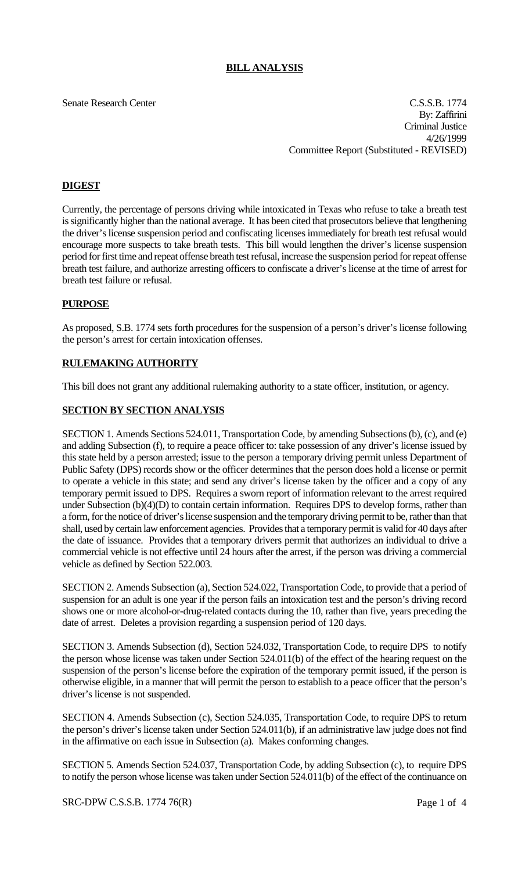## **BILL ANALYSIS**

Senate Research Center Cassette Context C.S.S.B. 1774 By: Zaffirini Criminal Justice 4/26/1999 Committee Report (Substituted - REVISED)

# **DIGEST**

Currently, the percentage of persons driving while intoxicated in Texas who refuse to take a breath test is significantly higher than the national average. It has been cited that prosecutors believe that lengthening the driver's license suspension period and confiscating licenses immediately for breath test refusal would encourage more suspects to take breath tests. This bill would lengthen the driver's license suspension period for first time and repeat offense breath test refusal, increase the suspension period for repeat offense breath test failure, and authorize arresting officers to confiscate a driver's license at the time of arrest for breath test failure or refusal.

## **PURPOSE**

As proposed, S.B. 1774 sets forth procedures for the suspension of a person's driver's license following the person's arrest for certain intoxication offenses.

## **RULEMAKING AUTHORITY**

This bill does not grant any additional rulemaking authority to a state officer, institution, or agency.

## **SECTION BY SECTION ANALYSIS**

SECTION 1. Amends Sections 524.011, Transportation Code, by amending Subsections (b), (c), and (e) and adding Subsection (f), to require a peace officer to: take possession of any driver's license issued by this state held by a person arrested; issue to the person a temporary driving permit unless Department of Public Safety (DPS) records show or the officer determines that the person does hold a license or permit to operate a vehicle in this state; and send any driver's license taken by the officer and a copy of any temporary permit issued to DPS. Requires a sworn report of information relevant to the arrest required under Subsection (b)(4)(D) to contain certain information. Requires DPS to develop forms, rather than a form, for the notice of driver's license suspension and the temporary driving permit to be, rather than that shall, used by certain law enforcement agencies. Provides that a temporary permit is valid for 40 days after the date of issuance. Provides that a temporary drivers permit that authorizes an individual to drive a commercial vehicle is not effective until 24 hours after the arrest, if the person was driving a commercial vehicle as defined by Section 522.003.

SECTION 2. Amends Subsection (a), Section 524.022, Transportation Code, to provide that a period of suspension for an adult is one year if the person fails an intoxication test and the person's driving record shows one or more alcohol-or-drug-related contacts during the 10, rather than five, years preceding the date of arrest. Deletes a provision regarding a suspension period of 120 days.

SECTION 3. Amends Subsection (d), Section 524.032, Transportation Code, to require DPS to notify the person whose license was taken under Section 524.011(b) of the effect of the hearing request on the suspension of the person's license before the expiration of the temporary permit issued, if the person is otherwise eligible, in a manner that will permit the person to establish to a peace officer that the person's driver's license is not suspended.

SECTION 4. Amends Subsection (c), Section 524.035, Transportation Code, to require DPS to return the person's driver's license taken under Section 524.011(b), if an administrative law judge does not find in the affirmative on each issue in Subsection (a). Makes conforming changes.

SECTION 5. Amends Section 524.037, Transportation Code, by adding Subsection (c), to require DPS to notify the person whose license was taken under Section 524.011(b) of the effect of the continuance on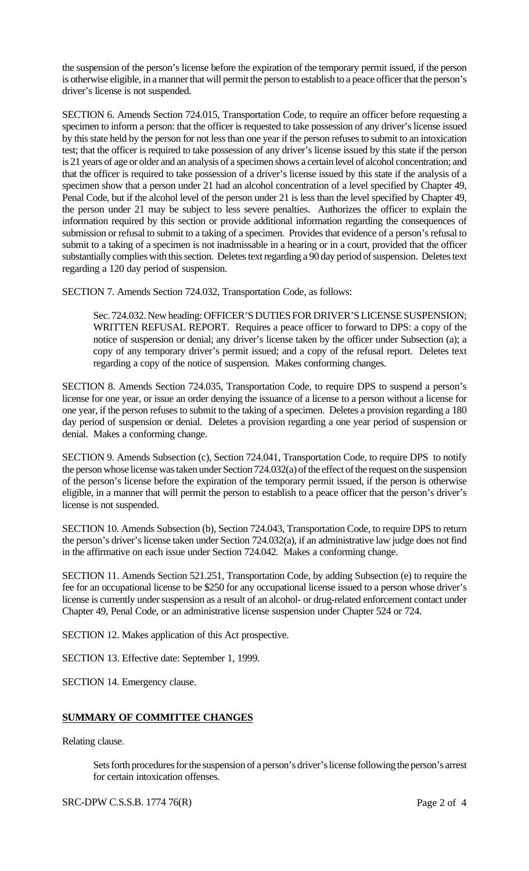the suspension of the person's license before the expiration of the temporary permit issued, if the person is otherwise eligible, in a manner that will permit the person to establish to a peace officer that the person's driver's license is not suspended.

SECTION 6. Amends Section 724.015, Transportation Code, to require an officer before requesting a specimen to inform a person: that the officer is requested to take possession of any driver's license issued by this state held by the person for not less than one year if the person refuses to submit to an intoxication test; that the officer is required to take possession of any driver's license issued by this state if the person is 21 years of age or older and an analysis of a specimen shows a certain level of alcohol concentration; and that the officer is required to take possession of a driver's license issued by this state if the analysis of a specimen show that a person under 21 had an alcohol concentration of a level specified by Chapter 49, Penal Code, but if the alcohol level of the person under 21 is less than the level specified by Chapter 49, the person under 21 may be subject to less severe penalties. Authorizes the officer to explain the information required by this section or provide additional information regarding the consequences of submission or refusal to submit to a taking of a specimen. Provides that evidence of a person's refusal to submit to a taking of a specimen is not inadmissable in a hearing or in a court, provided that the officer substantially complies with this section. Deletes text regarding a 90 day period of suspension. Deletes text regarding a 120 day period of suspension.

SECTION 7. Amends Section 724.032, Transportation Code, as follows:

Sec. 724.032. New heading: OFFICER'S DUTIES FOR DRIVER'S LICENSE SUSPENSION; WRITTEN REFUSAL REPORT. Requires a peace officer to forward to DPS: a copy of the notice of suspension or denial; any driver's license taken by the officer under Subsection (a); a copy of any temporary driver's permit issued; and a copy of the refusal report. Deletes text regarding a copy of the notice of suspension. Makes conforming changes.

SECTION 8. Amends Section 724.035, Transportation Code, to require DPS to suspend a person's license for one year, or issue an order denying the issuance of a license to a person without a license for one year, if the person refuses to submit to the taking of a specimen. Deletes a provision regarding a 180 day period of suspension or denial. Deletes a provision regarding a one year period of suspension or denial. Makes a conforming change.

SECTION 9. Amends Subsection (c), Section 724.041, Transportation Code, to require DPS to notify the person whose license was taken under Section 724.032(a) of the effect of the request on the suspension of the person's license before the expiration of the temporary permit issued, if the person is otherwise eligible, in a manner that will permit the person to establish to a peace officer that the person's driver's license is not suspended.

SECTION 10. Amends Subsection (b), Section 724.043, Transportation Code, to require DPS to return the person's driver's license taken under Section 724.032(a), if an administrative law judge does not find in the affirmative on each issue under Section 724.042. Makes a conforming change.

SECTION 11. Amends Section 521.251, Transportation Code, by adding Subsection (e) to require the fee for an occupational license to be \$250 for any occupational license issued to a person whose driver's license is currently under suspension as a result of an alcohol- or drug-related enforcement contact under Chapter 49, Penal Code, or an administrative license suspension under Chapter 524 or 724.

SECTION 12. Makes application of this Act prospective.

SECTION 13. Effective date: September 1, 1999.

SECTION 14. Emergency clause.

#### **SUMMARY OF COMMITTEE CHANGES**

Relating clause.

Sets forth procedures for the suspension of a person's driver's license following the person's arrest for certain intoxication offenses.

SRC-DPW C.S.S.B. 1774 76(R) Page 2 of 4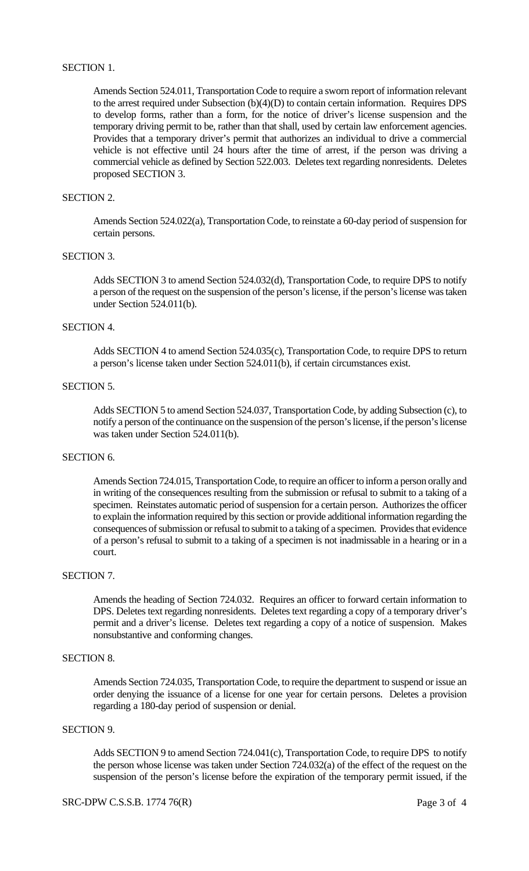#### SECTION 1.

Amends Section 524.011, Transportation Code to require a sworn report of information relevant to the arrest required under Subsection (b)(4)(D) to contain certain information. Requires DPS to develop forms, rather than a form, for the notice of driver's license suspension and the temporary driving permit to be, rather than that shall, used by certain law enforcement agencies. Provides that a temporary driver's permit that authorizes an individual to drive a commercial vehicle is not effective until 24 hours after the time of arrest, if the person was driving a commercial vehicle as defined by Section 522.003. Deletes text regarding nonresidents. Deletes proposed SECTION 3.

#### SECTION 2.

Amends Section 524.022(a), Transportation Code, to reinstate a 60-day period of suspension for certain persons.

#### SECTION 3.

Adds SECTION 3 to amend Section 524.032(d), Transportation Code, to require DPS to notify a person of the request on the suspension of the person's license, if the person's license was taken under Section 524.011(b).

#### SECTION 4.

Adds SECTION 4 to amend Section 524.035(c), Transportation Code, to require DPS to return a person's license taken under Section 524.011(b), if certain circumstances exist.

#### SECTION 5.

Adds SECTION 5 to amend Section 524.037, Transportation Code, by adding Subsection (c), to notify a person of the continuance on the suspension of the person's license, if the person's license was taken under Section 524.011(b).

## SECTION<sub>6</sub>.

Amends Section 724.015, Transportation Code, to require an officer to inform a person orally and in writing of the consequences resulting from the submission or refusal to submit to a taking of a specimen. Reinstates automatic period of suspension for a certain person. Authorizes the officer to explain the information required by this section or provide additional information regarding the consequences of submission or refusal to submit to a taking of a specimen. Provides that evidence of a person's refusal to submit to a taking of a specimen is not inadmissable in a hearing or in a court.

## SECTION 7.

Amends the heading of Section 724.032. Requires an officer to forward certain information to DPS. Deletes text regarding nonresidents. Deletes text regarding a copy of a temporary driver's permit and a driver's license. Deletes text regarding a copy of a notice of suspension. Makes nonsubstantive and conforming changes.

#### SECTION 8.

Amends Section 724.035, Transportation Code, to require the department to suspend or issue an order denying the issuance of a license for one year for certain persons. Deletes a provision regarding a 180-day period of suspension or denial.

# SECTION 9.

Adds SECTION 9 to amend Section 724.041(c), Transportation Code, to require DPS to notify the person whose license was taken under Section 724.032(a) of the effect of the request on the suspension of the person's license before the expiration of the temporary permit issued, if the